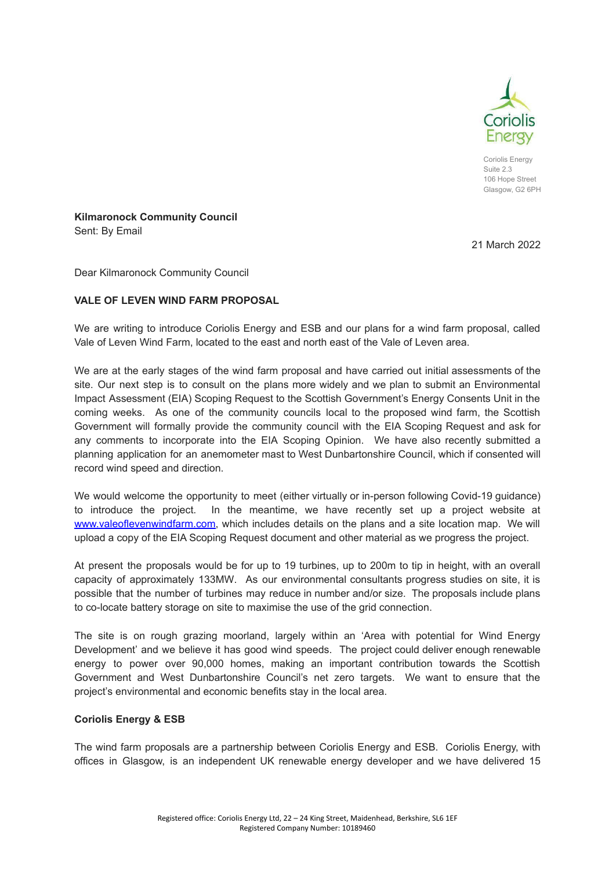

Coriolis Energy Suite 2.3 106 Hope Street Glasgow, G<sub>2</sub> 6PH

**Kilmaronock Community Council** Sent: By Email

21 March 2022

Dear Kilmaronock Community Council

## **VALE OF LEVEN WIND FARM PROPOSAL**

We are writing to introduce Coriolis Energy and ESB and our plans for a wind farm proposal, called Vale of Leven Wind Farm, located to the east and north east of the Vale of Leven area.

We are at the early stages of the wind farm proposal and have carried out initial assessments of the site. Our next step is to consult on the plans more widely and we plan to submit an Environmental Impact Assessment (EIA) Scoping Request to the Scottish Government's Energy Consents Unit in the coming weeks. As one of the community councils local to the proposed wind farm, the Scottish Government will formally provide the community council with the EIA Scoping Request and ask for any comments to incorporate into the EIA Scoping Opinion. We have also recently submitted a planning application for an anemometer mast to West Dunbartonshire Council, which if consented will record wind speed and direction.

We would welcome the opportunity to meet (either virtually or in-person following Covid-19 guidance) to introduce the project. In the meantime, we have recently set up a project website at [www.valeoflevenwindfarm.com,](http://www.valeoflevenwindfarm.com) which includes details on the plans and a site location map. We will upload a copy of the EIA Scoping Request document and other material as we progress the project.

At present the proposals would be for up to 19 turbines, up to 200m to tip in height, with an overall capacity of approximately 133MW. As our environmental consultants progress studies on site, it is possible that the number of turbines may reduce in number and/or size. The proposals include plans to co-locate battery storage on site to maximise the use of the grid connection.

The site is on rough grazing moorland, largely within an 'Area with potential for Wind Energy Development' and we believe it has good wind speeds. The project could deliver enough renewable energy to power over 90,000 homes, making an important contribution towards the Scottish Government and West Dunbartonshire Council's net zero targets. We want to ensure that the project's environmental and economic benefits stay in the local area.

## **Coriolis Energy & ESB**

The wind farm proposals are a partnership between Coriolis Energy and ESB. Coriolis Energy, with offices in Glasgow, is an independent UK renewable energy developer and we have delivered 15